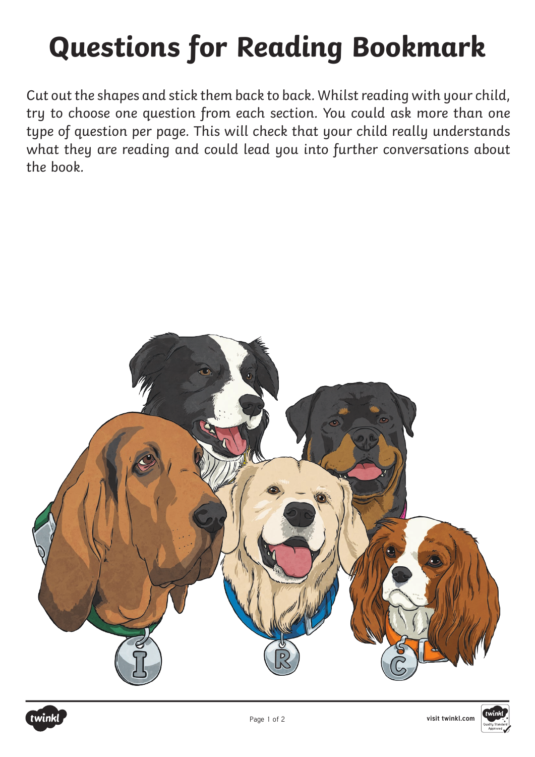# **Questions for Reading Bookmark**

Cut out the shapes and stick them back to back. Whilst reading with your child, try to choose one question from each section. You could ask more than one type of question per page. This will check that your child really understands what they are reading and could lead you into further conversations about the book.